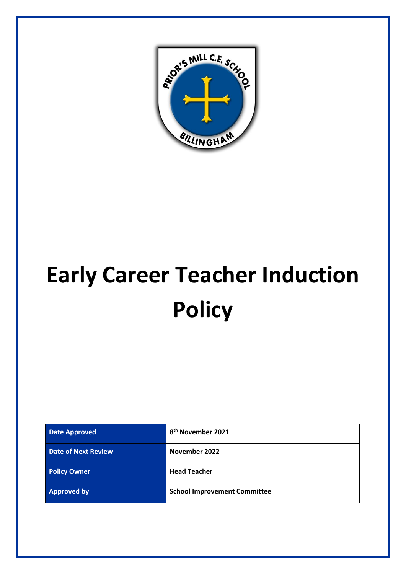

# **Early Career Teacher Induction Policy**

| <b>Date Approved</b>       | 8 <sup>th</sup> November 2021       |
|----------------------------|-------------------------------------|
| <b>Date of Next Review</b> | November 2022                       |
| <b>Policy Owner</b>        | <b>Head Teacher</b>                 |
| <b>Approved by</b>         | <b>School Improvement Committee</b> |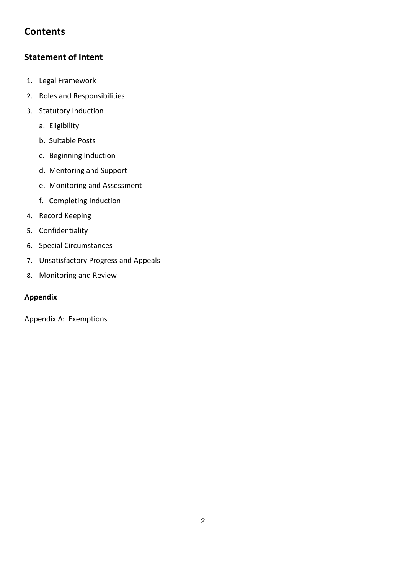# **Contents**

# **Statement of Intent**

- 1. Legal Framework
- 2. Roles and Responsibilities
- 3. Statutory Induction
	- a. Eligibility
	- b. Suitable Posts
	- c. Beginning Induction
	- d. Mentoring and Support
	- e. Monitoring and Assessment
	- f. Completing Induction
- 4. Record Keeping
- 5. Confidentiality
- 6. Special Circumstances
- 7. Unsatisfactory Progress and Appeals
- 8. Monitoring and Review

## **Appendix**

Appendix A: Exemptions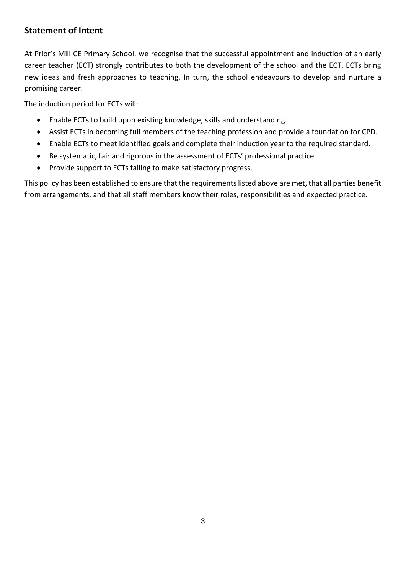# **Statement of Intent**

At Prior's Mill CE Primary School, we recognise that the successful appointment and induction of an early career teacher (ECT) strongly contributes to both the development of the school and the ECT. ECTs bring new ideas and fresh approaches to teaching. In turn, the school endeavours to develop and nurture a promising career.

The induction period for ECTs will:

- Enable ECTs to build upon existing knowledge, skills and understanding.
- Assist ECTs in becoming full members of the teaching profession and provide a foundation for CPD.
- Enable ECTs to meet identified goals and complete their induction year to the required standard.
- Be systematic, fair and rigorous in the assessment of ECTs' professional practice.
- Provide support to ECTs failing to make satisfactory progress.

This policy has been established to ensure that the requirements listed above are met, that all parties benefit from arrangements, and that all staff members know their roles, responsibilities and expected practice.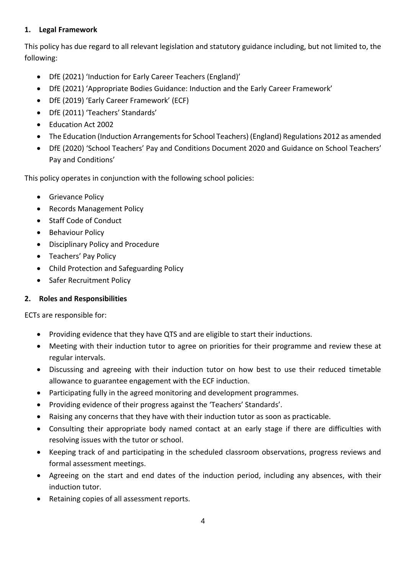#### **1. Legal Framework**

This policy has due regard to all relevant legislation and statutory guidance including, but not limited to, the following:

- DfE (2021) 'Induction for Early Career Teachers (England)'
- DfE (2021) 'Appropriate Bodies Guidance: Induction and the Early Career Framework'
- DfE (2019) 'Early Career Framework' (ECF)
- DfE (2011) 'Teachers' Standards'
- Education Act 2002
- The Education (Induction Arrangements for School Teachers) (England) Regulations 2012 as amended
- DfE (2020) 'School Teachers' Pay and Conditions Document 2020 and Guidance on School Teachers' Pay and Conditions'

This policy operates in conjunction with the following school policies:

- Grievance Policy
- Records Management Policy
- Staff Code of Conduct
- Behaviour Policy
- Disciplinary Policy and Procedure
- Teachers' Pay Policy
- Child Protection and Safeguarding Policy
- Safer Recruitment Policy

## **2. Roles and Responsibilities**

ECTs are responsible for:

- Providing evidence that they have QTS and are eligible to start their inductions.
- Meeting with their induction tutor to agree on priorities for their programme and review these at regular intervals.
- Discussing and agreeing with their induction tutor on how best to use their reduced timetable allowance to guarantee engagement with the ECF induction.
- Participating fully in the agreed monitoring and development programmes.
- Providing evidence of their progress against the 'Teachers' Standards'.
- Raising any concerns that they have with their induction tutor as soon as practicable.
- Consulting their appropriate body named contact at an early stage if there are difficulties with resolving issues with the tutor or school.
- Keeping track of and participating in the scheduled classroom observations, progress reviews and formal assessment meetings.
- Agreeing on the start and end dates of the induction period, including any absences, with their induction tutor.
- Retaining copies of all assessment reports.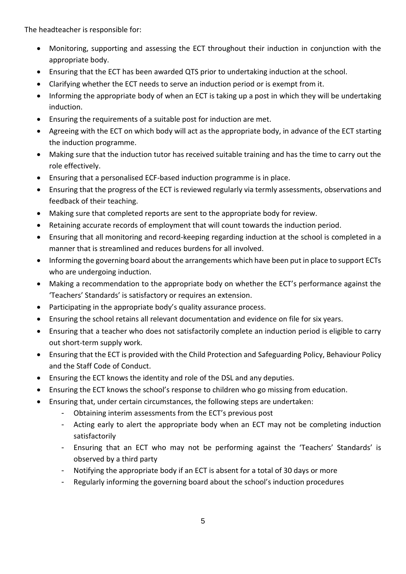The headteacher is responsible for:

- Monitoring, supporting and assessing the ECT throughout their induction in conjunction with the appropriate body.
- Ensuring that the ECT has been awarded QTS prior to undertaking induction at the school.
- Clarifying whether the ECT needs to serve an induction period or is exempt from it.
- Informing the appropriate body of when an ECT is taking up a post in which they will be undertaking induction.
- Ensuring the requirements of a suitable post for induction are met.
- Agreeing with the ECT on which body will act as the appropriate body, in advance of the ECT starting the induction programme.
- Making sure that the induction tutor has received suitable training and has the time to carry out the role effectively.
- Ensuring that a personalised ECF-based induction programme is in place.
- Ensuring that the progress of the ECT is reviewed regularly via termly assessments, observations and feedback of their teaching.
- Making sure that completed reports are sent to the appropriate body for review.
- Retaining accurate records of employment that will count towards the induction period.
- Ensuring that all monitoring and record-keeping regarding induction at the school is completed in a manner that is streamlined and reduces burdens for all involved.
- Informing the governing board about the arrangements which have been put in place to support ECTs who are undergoing induction.
- Making a recommendation to the appropriate body on whether the ECT's performance against the 'Teachers' Standards' is satisfactory or requires an extension.
- Participating in the appropriate body's quality assurance process.
- Ensuring the school retains all relevant documentation and evidence on file for six years.
- Ensuring that a teacher who does not satisfactorily complete an induction period is eligible to carry out short-term supply work.
- Ensuring that the ECT is provided with the Child Protection and Safeguarding Policy, Behaviour Policy and the Staff Code of Conduct.
- Ensuring the ECT knows the identity and role of the DSL and any deputies.
- Ensuring the ECT knows the school's response to children who go missing from education.
- Ensuring that, under certain circumstances, the following steps are undertaken:
	- Obtaining interim assessments from the ECT's previous post
	- Acting early to alert the appropriate body when an ECT may not be completing induction satisfactorily
	- Ensuring that an ECT who may not be performing against the 'Teachers' Standards' is observed by a third party
	- Notifying the appropriate body if an ECT is absent for a total of 30 days or more
	- Regularly informing the governing board about the school's induction procedures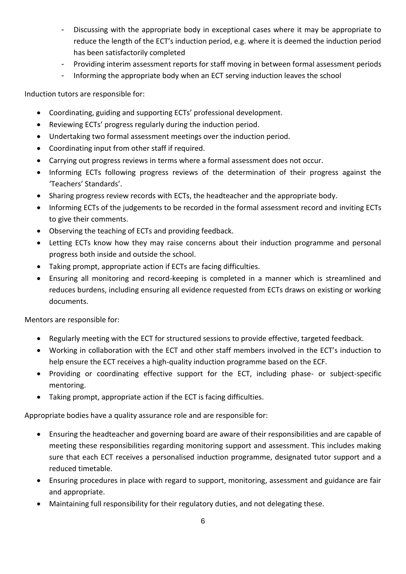- Discussing with the appropriate body in exceptional cases where it may be appropriate to reduce the length of the ECT's induction period, e.g. where it is deemed the induction period has been satisfactorily completed
- Providing interim assessment reports for staff moving in between formal assessment periods
- Informing the appropriate body when an ECT serving induction leaves the school

Induction tutors are responsible for:

- Coordinating, guiding and supporting ECTs' professional development.
- Reviewing ECTs' progress regularly during the induction period.
- Undertaking two formal assessment meetings over the induction period.
- Coordinating input from other staff if required.
- Carrying out progress reviews in terms where a formal assessment does not occur.
- Informing ECTs following progress reviews of the determination of their progress against the 'Teachers' Standards'.
- Sharing progress review records with ECTs, the headteacher and the appropriate body.
- Informing ECTs of the judgements to be recorded in the formal assessment record and inviting ECTs to give their comments.
- Observing the teaching of ECTs and providing feedback.
- Letting ECTs know how they may raise concerns about their induction programme and personal progress both inside and outside the school.
- Taking prompt, appropriate action if ECTs are facing difficulties.
- Ensuring all monitoring and record-keeping is completed in a manner which is streamlined and reduces burdens, including ensuring all evidence requested from ECTs draws on existing or working documents.

Mentors are responsible for:

- Regularly meeting with the ECT for structured sessions to provide effective, targeted feedback.
- Working in collaboration with the ECT and other staff members involved in the ECT's induction to help ensure the ECT receives a high-quality induction programme based on the ECF.
- Providing or coordinating effective support for the ECT, including phase- or subject-specific mentoring.
- Taking prompt, appropriate action if the ECT is facing difficulties.

Appropriate bodies have a quality assurance role and are responsible for:

- Ensuring the headteacher and governing board are aware of their responsibilities and are capable of meeting these responsibilities regarding monitoring support and assessment. This includes making sure that each ECT receives a personalised induction programme, designated tutor support and a reduced timetable.
- Ensuring procedures in place with regard to support, monitoring, assessment and guidance are fair and appropriate.
- Maintaining full responsibility for their regulatory duties, and not delegating these.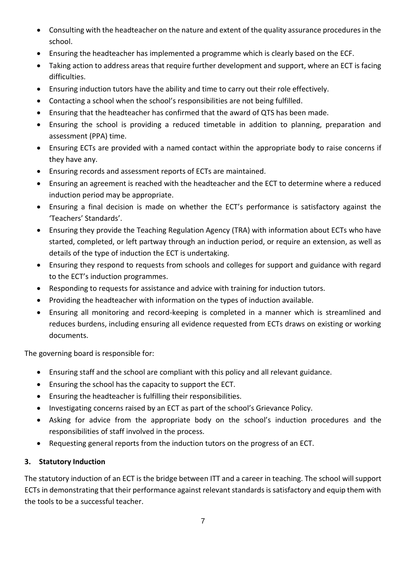- Consulting with the headteacher on the nature and extent of the quality assurance procedures in the school.
- Ensuring the headteacher has implemented a programme which is clearly based on the ECF.
- Taking action to address areas that require further development and support, where an ECT is facing difficulties.
- Ensuring induction tutors have the ability and time to carry out their role effectively.
- Contacting a school when the school's responsibilities are not being fulfilled.
- Ensuring that the headteacher has confirmed that the award of QTS has been made.
- Ensuring the school is providing a reduced timetable in addition to planning, preparation and assessment (PPA) time.
- Ensuring ECTs are provided with a named contact within the appropriate body to raise concerns if they have any.
- Ensuring records and assessment reports of ECTs are maintained.
- Ensuring an agreement is reached with the headteacher and the ECT to determine where a reduced induction period may be appropriate.
- Ensuring a final decision is made on whether the ECT's performance is satisfactory against the 'Teachers' Standards'.
- Ensuring they provide the Teaching Regulation Agency (TRA) with information about ECTs who have started, completed, or left partway through an induction period, or require an extension, as well as details of the type of induction the ECT is undertaking.
- Ensuring they respond to requests from schools and colleges for support and guidance with regard to the ECT's induction programmes.
- Responding to requests for assistance and advice with training for induction tutors.
- Providing the headteacher with information on the types of induction available.
- Ensuring all monitoring and record-keeping is completed in a manner which is streamlined and reduces burdens, including ensuring all evidence requested from ECTs draws on existing or working documents.

The governing board is responsible for:

- Ensuring staff and the school are compliant with this policy and all relevant guidance.
- Ensuring the school has the capacity to support the ECT.
- Ensuring the headteacher is fulfilling their responsibilities.
- Investigating concerns raised by an ECT as part of the school's Grievance Policy.
- Asking for advice from the appropriate body on the school's induction procedures and the responsibilities of staff involved in the process.
- Requesting general reports from the induction tutors on the progress of an ECT.

## **3. Statutory Induction**

The statutory induction of an ECT is the bridge between ITT and a career in teaching. The school will support ECTs in demonstrating that their performance against relevant standards is satisfactory and equip them with the tools to be a successful teacher.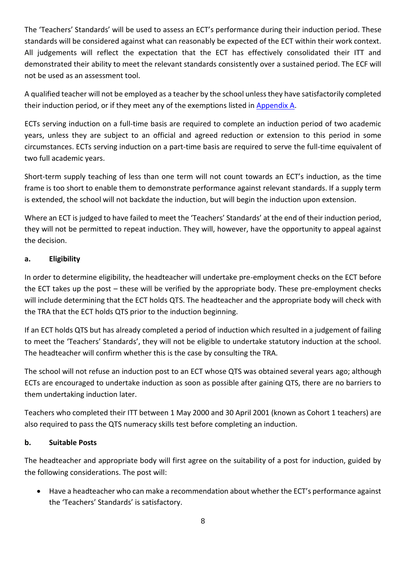The 'Teachers' Standards' will be used to assess an ECT's performance during their induction period. These standards will be considered against what can reasonably be expected of the ECT within their work context. All judgements will reflect the expectation that the ECT has effectively consolidated their ITT and demonstrated their ability to meet the relevant standards consistently over a sustained period. The ECF will not be used as an assessment tool.

A qualified teacher will not be employed as a teacher by the school unless they have satisfactorily completed their induction period, or if they meet any of the exemptions listed in Appendix A.

ECTs serving induction on a full-time basis are required to complete an induction period of two academic years, unless they are subject to an official and agreed reduction or extension to this period in some circumstances. ECTs serving induction on a part-time basis are required to serve the full-time equivalent of two full academic years.

Short-term supply teaching of less than one term will not count towards an ECT's induction, as the time frame is too short to enable them to demonstrate performance against relevant standards. If a supply term is extended, the school will not backdate the induction, but will begin the induction upon extension.

Where an ECT is judged to have failed to meet the 'Teachers' Standards' at the end of their induction period, they will not be permitted to repeat induction. They will, however, have the opportunity to appeal against the decision.

#### **a. Eligibility**

In order to determine eligibility, the headteacher will undertake pre-employment checks on the ECT before the ECT takes up the post – these will be verified by the appropriate body. These pre-employment checks will include determining that the ECT holds QTS. The headteacher and the appropriate body will check with the TRA that the ECT holds QTS prior to the induction beginning.

If an ECT holds QTS but has already completed a period of induction which resulted in a judgement of failing to meet the 'Teachers' Standards', they will not be eligible to undertake statutory induction at the school. The headteacher will confirm whether this is the case by consulting the TRA.

The school will not refuse an induction post to an ECT whose QTS was obtained several years ago; although ECTs are encouraged to undertake induction as soon as possible after gaining QTS, there are no barriers to them undertaking induction later.

Teachers who completed their ITT between 1 May 2000 and 30 April 2001 (known as Cohort 1 teachers) are also required to pass the QTS numeracy skills test before completing an induction.

#### **b. Suitable Posts**

The headteacher and appropriate body will first agree on the suitability of a post for induction, guided by the following considerations. The post will:

• Have a headteacher who can make a recommendation about whether the ECT's performance against the 'Teachers' Standards' is satisfactory.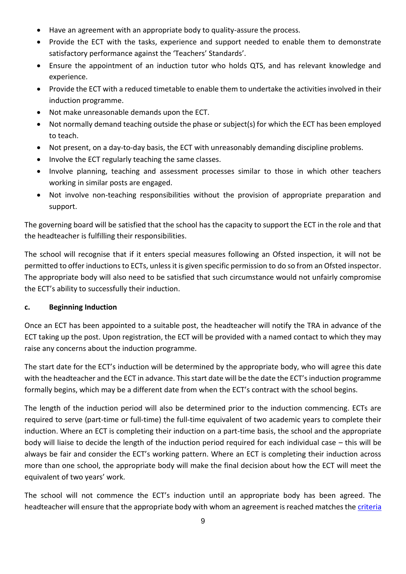- Have an agreement with an appropriate body to quality-assure the process.
- Provide the ECT with the tasks, experience and support needed to enable them to demonstrate satisfactory performance against the 'Teachers' Standards'.
- Ensure the appointment of an induction tutor who holds QTS, and has relevant knowledge and experience.
- Provide the ECT with a reduced timetable to enable them to undertake the activities involved in their induction programme.
- Not make unreasonable demands upon the ECT.
- Not normally demand teaching outside the phase or subject(s) for which the ECT has been employed to teach.
- Not present, on a day-to-day basis, the ECT with unreasonably demanding discipline problems.
- Involve the ECT regularly teaching the same classes.
- Involve planning, teaching and assessment processes similar to those in which other teachers working in similar posts are engaged.
- Not involve non-teaching responsibilities without the provision of appropriate preparation and support.

The governing board will be satisfied that the school has the capacity to support the ECT in the role and that the headteacher is fulfilling their responsibilities.

The school will recognise that if it enters special measures following an Ofsted inspection, it will not be permitted to offer inductions to ECTs, unless it is given specific permission to do so from an Ofsted inspector. The appropriate body will also need to be satisfied that such circumstance would not unfairly compromise the ECT's ability to successfully their induction.

#### **c. Beginning Induction**

Once an ECT has been appointed to a suitable post, the headteacher will notify the TRA in advance of the ECT taking up the post. Upon registration, the ECT will be provided with a named contact to which they may raise any concerns about the induction programme.

The start date for the ECT's induction will be determined by the appropriate body, who will agree this date with the headteacher and the ECT in advance. This start date will be the date the ECT's induction programme formally begins, which may be a different date from when the ECT's contract with the school begins.

The length of the induction period will also be determined prior to the induction commencing. ECTs are required to serve (part-time or full-time) the full-time equivalent of two academic years to complete their induction. Where an ECT is completing their induction on a part-time basis, the school and the appropriate body will liaise to decide the length of the induction period required for each individual case – this will be always be fair and consider the ECT's working pattern. Where an ECT is completing their induction across more than one school, the appropriate body will make the final decision about how the ECT will meet the equivalent of two years' work.

The school will not commence the ECT's induction until an appropriate body has been agreed. The headteacher will ensure that the appropriate body with whom an agreement is reached matches th[e criteria](https://www.gov.uk/government/publications/appropriate-bodies-guidance-induction-and-the-early-career-framework)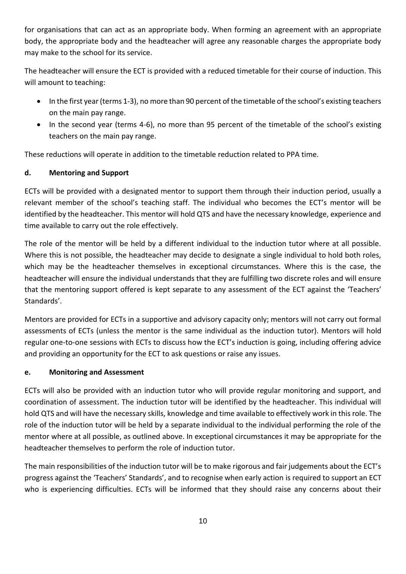for organisations that can act as an appropriate body. When forming an agreement with an appropriate body, the appropriate body and the headteacher will agree any reasonable charges the appropriate body may make to the school for its service.

The headteacher will ensure the ECT is provided with a reduced timetable for their course of induction. This will amount to teaching:

- In the first year (terms 1-3), no more than 90 percent of the timetable of the school's existing teachers on the main pay range.
- In the second year (terms 4-6), no more than 95 percent of the timetable of the school's existing teachers on the main pay range.

These reductions will operate in addition to the timetable reduction related to PPA time.

#### **d. Mentoring and Support**

ECTs will be provided with a designated mentor to support them through their induction period, usually a relevant member of the school's teaching staff. The individual who becomes the ECT's mentor will be identified by the headteacher. This mentor will hold QTS and have the necessary knowledge, experience and time available to carry out the role effectively.

The role of the mentor will be held by a different individual to the induction tutor where at all possible. Where this is not possible, the headteacher may decide to designate a single individual to hold both roles, which may be the headteacher themselves in exceptional circumstances. Where this is the case, the headteacher will ensure the individual understands that they are fulfilling two discrete roles and will ensure that the mentoring support offered is kept separate to any assessment of the ECT against the 'Teachers' Standards'.

Mentors are provided for ECTs in a supportive and advisory capacity only; mentors will not carry out formal assessments of ECTs (unless the mentor is the same individual as the induction tutor). Mentors will hold regular one-to-one sessions with ECTs to discuss how the ECT's induction is going, including offering advice and providing an opportunity for the ECT to ask questions or raise any issues.

#### **e. Monitoring and Assessment**

ECTs will also be provided with an induction tutor who will provide regular monitoring and support, and coordination of assessment. The induction tutor will be identified by the headteacher. This individual will hold QTS and will have the necessary skills, knowledge and time available to effectively work in this role. The role of the induction tutor will be held by a separate individual to the individual performing the role of the mentor where at all possible, as outlined above. In exceptional circumstances it may be appropriate for the headteacher themselves to perform the role of induction tutor.

The main responsibilities of the induction tutor will be to make rigorous and fair judgements about the ECT's progress against the 'Teachers' Standards', and to recognise when early action is required to support an ECT who is experiencing difficulties. ECTs will be informed that they should raise any concerns about their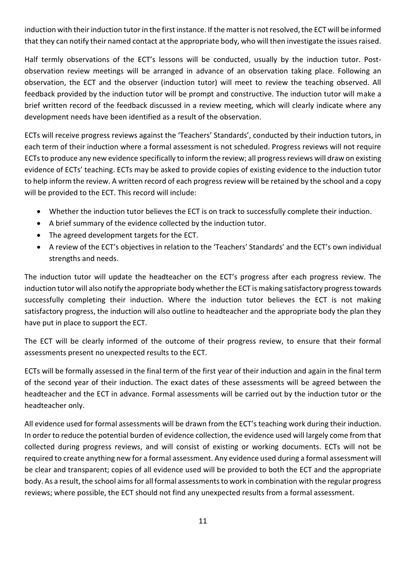induction with their induction tutor in the first instance. If the matter is not resolved, the ECT will be informed that they can notify their named contact at the appropriate body, who will then investigate the issues raised.

Half termly observations of the ECT's lessons will be conducted, usually by the induction tutor. Postobservation review meetings will be arranged in advance of an observation taking place. Following an observation, the ECT and the observer (induction tutor) will meet to review the teaching observed. All feedback provided by the induction tutor will be prompt and constructive. The induction tutor will make a brief written record of the feedback discussed in a review meeting, which will clearly indicate where any development needs have been identified as a result of the observation.

ECTs will receive progress reviews against the 'Teachers' Standards', conducted by their induction tutors, in each term of their induction where a formal assessment is not scheduled. Progress reviews will not require ECTs to produce any new evidence specifically to inform the review; all progress reviews will draw on existing evidence of ECTs' teaching. ECTs may be asked to provide copies of existing evidence to the induction tutor to help inform the review. A written record of each progress review will be retained by the school and a copy will be provided to the ECT. This record will include:

- Whether the induction tutor believes the ECT is on track to successfully complete their induction.
- A brief summary of the evidence collected by the induction tutor.
- The agreed development targets for the ECT.
- A review of the ECT's objectives in relation to the 'Teachers' Standards' and the ECT's own individual strengths and needs.

The induction tutor will update the headteacher on the ECT's progress after each progress review. The induction tutor will also notify the appropriate body whether the ECT is making satisfactory progress towards successfully completing their induction. Where the induction tutor believes the ECT is not making satisfactory progress, the induction will also outline to headteacher and the appropriate body the plan they have put in place to support the ECT.

The ECT will be clearly informed of the outcome of their progress review, to ensure that their formal assessments present no unexpected results to the ECT.

ECTs will be formally assessed in the final term of the first year of their induction and again in the final term of the second year of their induction. The exact dates of these assessments will be agreed between the headteacher and the ECT in advance. Formal assessments will be carried out by the induction tutor or the headteacher only.

All evidence used for formal assessments will be drawn from the ECT's teaching work during their induction. In order to reduce the potential burden of evidence collection, the evidence used will largely come from that collected during progress reviews, and will consist of existing or working documents. ECTs will not be required to create anything new for a formal assessment. Any evidence used during a formal assessment will be clear and transparent; copies of all evidence used will be provided to both the ECT and the appropriate body. As a result, the school aims for all formal assessments to work in combination with the regular progress reviews; where possible, the ECT should not find any unexpected results from a formal assessment.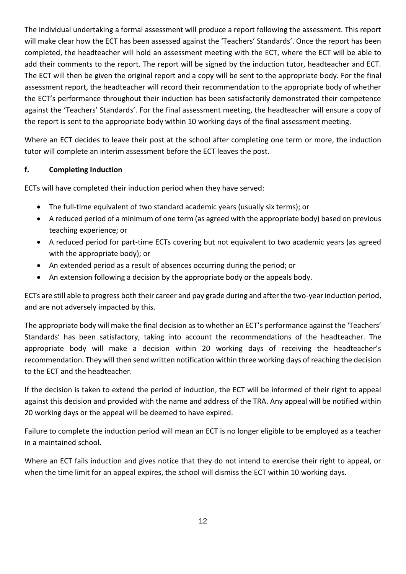The individual undertaking a formal assessment will produce a report following the assessment. This report will make clear how the ECT has been assessed against the 'Teachers' Standards'. Once the report has been completed, the headteacher will hold an assessment meeting with the ECT, where the ECT will be able to add their comments to the report. The report will be signed by the induction tutor, headteacher and ECT. The ECT will then be given the original report and a copy will be sent to the appropriate body. For the final assessment report, the headteacher will record their recommendation to the appropriate body of whether the ECT's performance throughout their induction has been satisfactorily demonstrated their competence against the 'Teachers' Standards'. For the final assessment meeting, the headteacher will ensure a copy of the report is sent to the appropriate body within 10 working days of the final assessment meeting.

Where an ECT decides to leave their post at the school after completing one term or more, the induction tutor will complete an interim assessment before the ECT leaves the post.

#### **f. Completing Induction**

ECTs will have completed their induction period when they have served:

- The full-time equivalent of two standard academic years (usually six terms); or
- A reduced period of a minimum of one term (as agreed with the appropriate body) based on previous teaching experience; or
- A reduced period for part-time ECTs covering but not equivalent to two academic years (as agreed with the appropriate body); or
- An extended period as a result of absences occurring during the period; or
- An extension following a decision by the appropriate body or the appeals body.

ECTs are still able to progress both their career and pay grade during and after the two-year induction period, and are not adversely impacted by this.

The appropriate body will make the final decision as to whether an ECT's performance against the 'Teachers' Standards' has been satisfactory, taking into account the recommendations of the headteacher. The appropriate body will make a decision within 20 working days of receiving the headteacher's recommendation. They will then send written notification within three working days of reaching the decision to the ECT and the headteacher.

If the decision is taken to extend the period of induction, the ECT will be informed of their right to appeal against this decision and provided with the name and address of the TRA. Any appeal will be notified within 20 working days or the appeal will be deemed to have expired.

Failure to complete the induction period will mean an ECT is no longer eligible to be employed as a teacher in a maintained school.

Where an ECT fails induction and gives notice that they do not intend to exercise their right to appeal, or when the time limit for an appeal expires, the school will dismiss the ECT within 10 working days.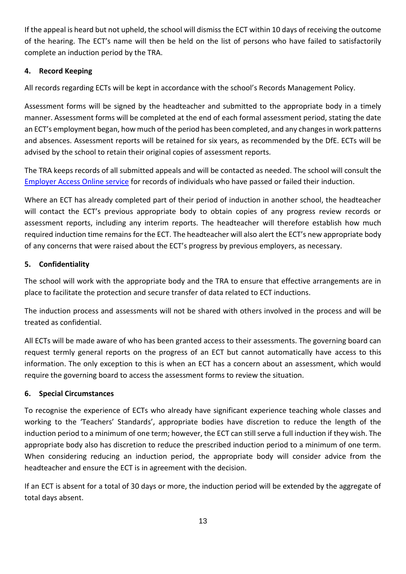If the appeal is heard but not upheld, the school will dismiss the ECT within 10 days of receiving the outcome of the hearing. The ECT's name will then be held on the list of persons who have failed to satisfactorily complete an induction period by the TRA.

#### **4. Record Keeping**

All records regarding ECTs will be kept in accordance with the school's Records Management Policy.

Assessment forms will be signed by the headteacher and submitted to the appropriate body in a timely manner. Assessment forms will be completed at the end of each formal assessment period, stating the date an ECT's employment began, how much of the period has been completed, and any changes in work patterns and absences. Assessment reports will be retained for six years, as recommended by the DfE. ECTs will be advised by the school to retain their original copies of assessment reports.

The TRA keeps records of all submitted appeals and will be contacted as needed. The school will consult the [Employer Access Online service](https://www.gov.uk/guidance/teacher-status-checks-information-for-employers) for records of individuals who have passed or failed their induction.

Where an ECT has already completed part of their period of induction in another school, the headteacher will contact the ECT's previous appropriate body to obtain copies of any progress review records or assessment reports, including any interim reports. The headteacher will therefore establish how much required induction time remains for the ECT. The headteacher will also alert the ECT's new appropriate body of any concerns that were raised about the ECT's progress by previous employers, as necessary.

#### **5. Confidentiality**

The school will work with the appropriate body and the TRA to ensure that effective arrangements are in place to facilitate the protection and secure transfer of data related to ECT inductions.

The induction process and assessments will not be shared with others involved in the process and will be treated as confidential.

All ECTs will be made aware of who has been granted access to their assessments. The governing board can request termly general reports on the progress of an ECT but cannot automatically have access to this information. The only exception to this is when an ECT has a concern about an assessment, which would require the governing board to access the assessment forms to review the situation.

#### **6. Special Circumstances**

To recognise the experience of ECTs who already have significant experience teaching whole classes and working to the 'Teachers' Standards', appropriate bodies have discretion to reduce the length of the induction period to a minimum of one term; however, the ECT can still serve a full induction if they wish. The appropriate body also has discretion to reduce the prescribed induction period to a minimum of one term. When considering reducing an induction period, the appropriate body will consider advice from the headteacher and ensure the ECT is in agreement with the decision.

If an ECT is absent for a total of 30 days or more, the induction period will be extended by the aggregate of total days absent.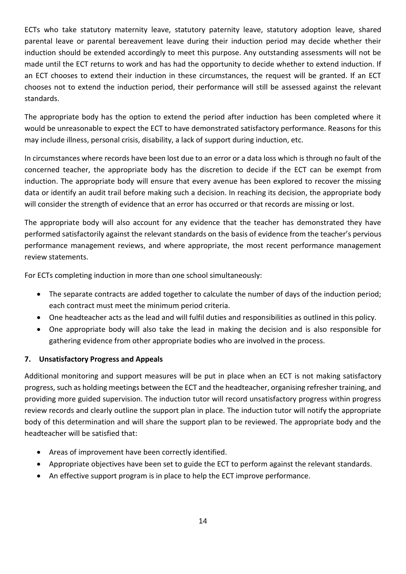ECTs who take statutory maternity leave, statutory paternity leave, statutory adoption leave, shared parental leave or parental bereavement leave during their induction period may decide whether their induction should be extended accordingly to meet this purpose. Any outstanding assessments will not be made until the ECT returns to work and has had the opportunity to decide whether to extend induction. If an ECT chooses to extend their induction in these circumstances, the request will be granted. If an ECT chooses not to extend the induction period, their performance will still be assessed against the relevant standards.

The appropriate body has the option to extend the period after induction has been completed where it would be unreasonable to expect the ECT to have demonstrated satisfactory performance. Reasons for this may include illness, personal crisis, disability, a lack of support during induction, etc.

In circumstances where records have been lost due to an error or a data loss which is through no fault of the concerned teacher, the appropriate body has the discretion to decide if the ECT can be exempt from induction. The appropriate body will ensure that every avenue has been explored to recover the missing data or identify an audit trail before making such a decision. In reaching its decision, the appropriate body will consider the strength of evidence that an error has occurred or that records are missing or lost.

The appropriate body will also account for any evidence that the teacher has demonstrated they have performed satisfactorily against the relevant standards on the basis of evidence from the teacher's pervious performance management reviews, and where appropriate, the most recent performance management review statements.

For ECTs completing induction in more than one school simultaneously:

- The separate contracts are added together to calculate the number of days of the induction period; each contract must meet the minimum period criteria.
- One headteacher acts as the lead and will fulfil duties and responsibilities as outlined in this policy.
- One appropriate body will also take the lead in making the decision and is also responsible for gathering evidence from other appropriate bodies who are involved in the process.

#### **7. Unsatisfactory Progress and Appeals**

Additional monitoring and support measures will be put in place when an ECT is not making satisfactory progress, such as holding meetings between the ECT and the headteacher, organising refresher training, and providing more guided supervision. The induction tutor will record unsatisfactory progress within progress review records and clearly outline the support plan in place. The induction tutor will notify the appropriate body of this determination and will share the support plan to be reviewed. The appropriate body and the headteacher will be satisfied that:

- Areas of improvement have been correctly identified.
- Appropriate objectives have been set to guide the ECT to perform against the relevant standards.
- An effective support program is in place to help the ECT improve performance.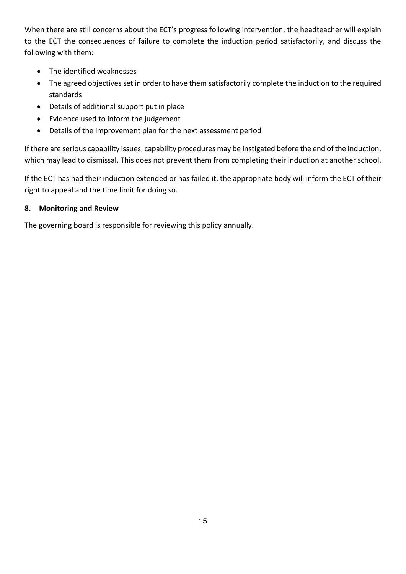When there are still concerns about the ECT's progress following intervention, the headteacher will explain to the ECT the consequences of failure to complete the induction period satisfactorily, and discuss the following with them:

- The identified weaknesses
- The agreed objectives set in order to have them satisfactorily complete the induction to the required standards
- Details of additional support put in place
- Evidence used to inform the judgement
- Details of the improvement plan for the next assessment period

If there are serious capability issues, capability procedures may be instigated before the end of the induction, which may lead to dismissal. This does not prevent them from completing their induction at another school.

If the ECT has had their induction extended or has failed it, the appropriate body will inform the ECT of their right to appeal and the time limit for doing so.

#### **8. Monitoring and Review**

The governing board is responsible for reviewing this policy annually.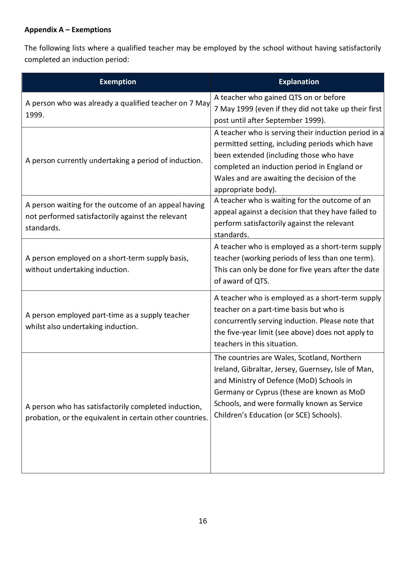# **Appendix A – Exemptions**

The following lists where a qualified teacher may be employed by the school without having satisfactorily completed an induction period:

| <b>Exemption</b>                                                                                                        | <b>Explanation</b>                                                                                                                                                                                                                                                                   |
|-------------------------------------------------------------------------------------------------------------------------|--------------------------------------------------------------------------------------------------------------------------------------------------------------------------------------------------------------------------------------------------------------------------------------|
| A person who was already a qualified teacher on 7 May<br>1999.                                                          | A teacher who gained QTS on or before<br>7 May 1999 (even if they did not take up their first<br>post until after September 1999).                                                                                                                                                   |
| A person currently undertaking a period of induction.                                                                   | A teacher who is serving their induction period in a<br>permitted setting, including periods which have<br>been extended (including those who have<br>completed an induction period in England or<br>Wales and are awaiting the decision of the<br>appropriate body).                |
| A person waiting for the outcome of an appeal having<br>not performed satisfactorily against the relevant<br>standards. | A teacher who is waiting for the outcome of an<br>appeal against a decision that they have failed to<br>perform satisfactorily against the relevant<br>standards.                                                                                                                    |
| A person employed on a short-term supply basis,<br>without undertaking induction.                                       | A teacher who is employed as a short-term supply<br>teacher (working periods of less than one term).<br>This can only be done for five years after the date<br>of award of QTS.                                                                                                      |
| A person employed part-time as a supply teacher<br>whilst also undertaking induction.                                   | A teacher who is employed as a short-term supply<br>teacher on a part-time basis but who is<br>concurrently serving induction. Please note that<br>the five-year limit (see above) does not apply to<br>teachers in this situation.                                                  |
| A person who has satisfactorily completed induction,<br>probation, or the equivalent in certain other countries.        | The countries are Wales, Scotland, Northern<br>Ireland, Gibraltar, Jersey, Guernsey, Isle of Man,<br>and Ministry of Defence (MoD) Schools in<br>Germany or Cyprus (these are known as MoD<br>Schools, and were formally known as Service<br>Children's Education (or SCE) Schools). |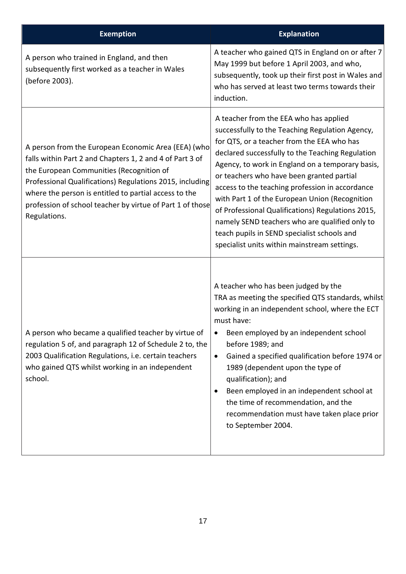| <b>Exemption</b>                                                                                                                                                                                                                                                                                                                                              | <b>Explanation</b>                                                                                                                                                                                                                                                                                                                                                                                                                                                                                                                                                                                      |
|---------------------------------------------------------------------------------------------------------------------------------------------------------------------------------------------------------------------------------------------------------------------------------------------------------------------------------------------------------------|---------------------------------------------------------------------------------------------------------------------------------------------------------------------------------------------------------------------------------------------------------------------------------------------------------------------------------------------------------------------------------------------------------------------------------------------------------------------------------------------------------------------------------------------------------------------------------------------------------|
| A person who trained in England, and then<br>subsequently first worked as a teacher in Wales<br>(before 2003).                                                                                                                                                                                                                                                | A teacher who gained QTS in England on or after 7<br>May 1999 but before 1 April 2003, and who,<br>subsequently, took up their first post in Wales and<br>who has served at least two terms towards their<br>induction.                                                                                                                                                                                                                                                                                                                                                                                 |
| A person from the European Economic Area (EEA) (who<br>falls within Part 2 and Chapters 1, 2 and 4 of Part 3 of<br>the European Communities (Recognition of<br>Professional Qualifications) Regulations 2015, including<br>where the person is entitled to partial access to the<br>profession of school teacher by virtue of Part 1 of those<br>Regulations. | A teacher from the EEA who has applied<br>successfully to the Teaching Regulation Agency,<br>for QTS, or a teacher from the EEA who has<br>declared successfully to the Teaching Regulation<br>Agency, to work in England on a temporary basis,<br>or teachers who have been granted partial<br>access to the teaching profession in accordance<br>with Part 1 of the European Union (Recognition<br>of Professional Qualifications) Regulations 2015,<br>namely SEND teachers who are qualified only to<br>teach pupils in SEND specialist schools and<br>specialist units within mainstream settings. |
| A person who became a qualified teacher by virtue of<br>regulation 5 of, and paragraph 12 of Schedule 2 to, the<br>2003 Qualification Regulations, i.e. certain teachers<br>who gained QTS whilst working in an independent<br>school.                                                                                                                        | A teacher who has been judged by the<br>TRA as meeting the specified QTS standards, whilst<br>working in an independent school, where the ECT<br>must have:<br>Been employed by an independent school<br>before 1989; and<br>Gained a specified qualification before 1974 or<br>$\bullet$<br>1989 (dependent upon the type of<br>qualification); and<br>Been employed in an independent school at<br>the time of recommendation, and the<br>recommendation must have taken place prior<br>to September 2004.                                                                                            |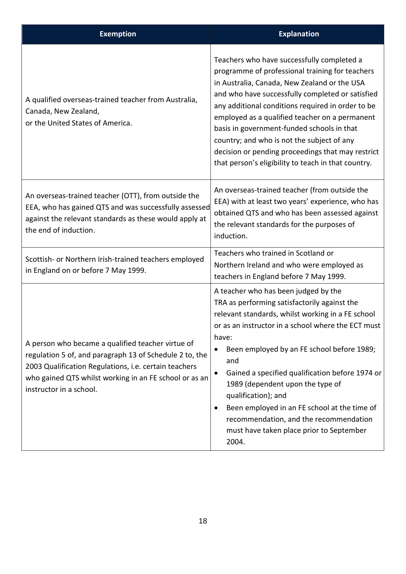| <b>Exemption</b>                                                                                                                                                                                                                                           | <b>Explanation</b>                                                                                                                                                                                                                                                                                                                                                                                                                                                                                                                                   |
|------------------------------------------------------------------------------------------------------------------------------------------------------------------------------------------------------------------------------------------------------------|------------------------------------------------------------------------------------------------------------------------------------------------------------------------------------------------------------------------------------------------------------------------------------------------------------------------------------------------------------------------------------------------------------------------------------------------------------------------------------------------------------------------------------------------------|
| A qualified overseas-trained teacher from Australia,<br>Canada, New Zealand,<br>or the United States of America.                                                                                                                                           | Teachers who have successfully completed a<br>programme of professional training for teachers<br>in Australia, Canada, New Zealand or the USA<br>and who have successfully completed or satisfied<br>any additional conditions required in order to be<br>employed as a qualified teacher on a permanent<br>basis in government-funded schools in that<br>country; and who is not the subject of any<br>decision or pending proceedings that may restrict<br>that person's eligibility to teach in that country.                                     |
| An overseas-trained teacher (OTT), from outside the<br>EEA, who has gained QTS and was successfully assessed<br>against the relevant standards as these would apply at<br>the end of induction.                                                            | An overseas-trained teacher (from outside the<br>EEA) with at least two years' experience, who has<br>obtained QTS and who has been assessed against<br>the relevant standards for the purposes of<br>induction.                                                                                                                                                                                                                                                                                                                                     |
| Scottish- or Northern Irish-trained teachers employed<br>in England on or before 7 May 1999.                                                                                                                                                               | Teachers who trained in Scotland or<br>Northern Ireland and who were employed as<br>teachers in England before 7 May 1999.                                                                                                                                                                                                                                                                                                                                                                                                                           |
| A person who became a qualified teacher virtue of<br>regulation 5 of, and paragraph 13 of Schedule 2 to, the<br>2003 Qualification Regulations, i.e. certain teachers<br>who gained QTS whilst working in an FE school or as an<br>instructor in a school. | A teacher who has been judged by the<br>TRA as performing satisfactorily against the<br>relevant standards, whilst working in a FE school<br>or as an instructor in a school where the ECT must<br>have:<br>Been employed by an FE school before 1989;<br>and<br>Gained a specified qualification before 1974 or<br>$\bullet$<br>1989 (dependent upon the type of<br>qualification); and<br>Been employed in an FE school at the time of<br>$\bullet$<br>recommendation, and the recommendation<br>must have taken place prior to September<br>2004. |